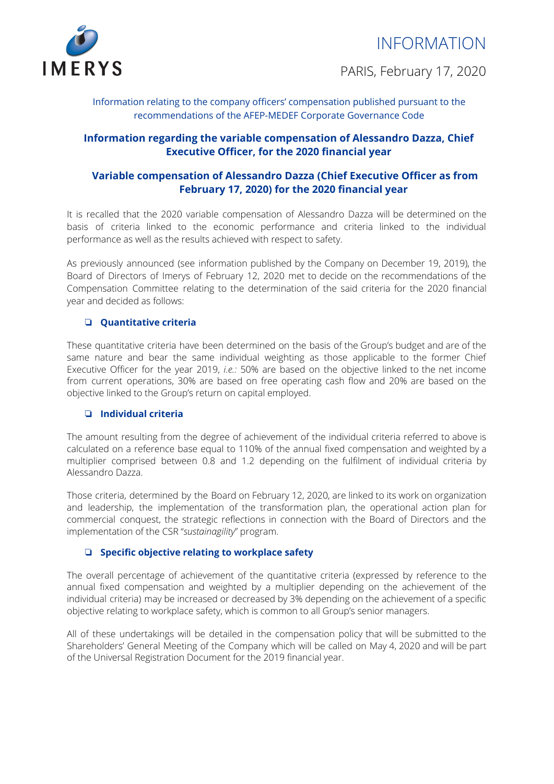



PARIS, February 17, 2020

Information relating to the company officers' compensation published pursuant to the recommendations of the AFEP-MEDEF Corporate Governance Code

# **Information regarding the variable compensation of Alessandro Dazza, Chief Executive Officer, for the 2020 financial year**

# **Variable compensation of Alessandro Dazza (Chief Executive Officer as from February 17, 2020) for the 2020 financial year**

It is recalled that the 2020 variable compensation of Alessandro Dazza will be determined on the basis of criteria linked to the economic performance and criteria linked to the individual performance as well as the results achieved with respect to safety.

As previously announced (see information published by the Company on December 19, 2019), the Board of Directors of Imerys of February 12, 2020 met to decide on the recommendations of the Compensation Committee relating to the determination of the said criteria for the 2020 financial year and decided as follows:

#### ❏ **Quantitative criteria**

These quantitative criteria have been determined on the basis of the Group's budget and are of the same nature and bear the same individual weighting as those applicable to the former Chief Executive Officer for the year 2019, *i.e.:* 50% are based on the objective linked to the net income from current operations, 30% are based on free operating cash flow and 20% are based on the objective linked to the Group's return on capital employed.

## ❏ **Individual criteria**

The amount resulting from the degree of achievement of the individual criteria referred to above is calculated on a reference base equal to 110% of the annual fixed compensation and weighted by a multiplier comprised between 0.8 and 1.2 depending on the fulfilment of individual criteria by Alessandro Dazza.

Those criteria, determined by the Board on February 12, 2020, are linked to its work on organization and leadership, the implementation of the transformation plan, the operational action plan for commercial conquest, the strategic reflections in connection with the Board of Directors and the implementation of the CSR "*sustainagility*" program.

## ❏ **Specific objective relating to workplace safety**

The overall percentage of achievement of the quantitative criteria (expressed by reference to the annual fixed compensation and weighted by a multiplier depending on the achievement of the individual criteria) may be increased or decreased by 3% depending on the achievement of a specific objective relating to workplace safety, which is common to all Group's senior managers.

All of these undertakings will be detailed in the compensation policy that will be submitted to the Shareholders' General Meeting of the Company which will be called on May 4, 2020 and will be part of the Universal Registration Document for the 2019 financial year.